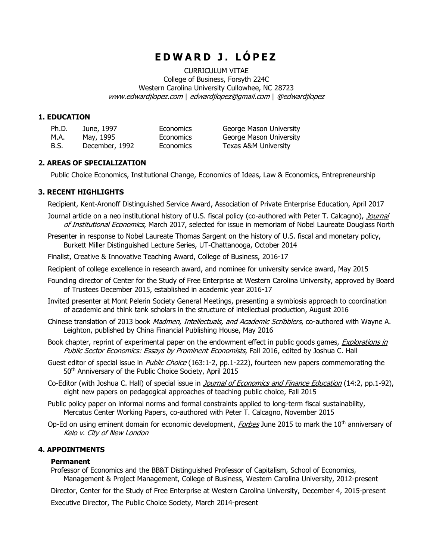# **E D W A R D J . L Ó P E Z**

CURRICULUM VITAE College of Business, Forsyth 224C Western Carolina University Cullowhee, NC 28723 [www.edwardjlopez.com](http://www.edwardjlopez.com/) | [edwardjlopez@gmail.com](mailto:edwardjlopez@gmail.com) | @edwardjlopez

## **1. EDUCATION**

| Ph.D. | June, 1997     | <b>Economics</b> |
|-------|----------------|------------------|
| M.A.  | May, 1995      | <b>Economics</b> |
| B.S.  | December, 1992 | <b>Economics</b> |

George Mason University George Mason University Texas A&M University

# **2. AREAS OF SPECIALIZATION**

Public Choice Economics, Institutional Change, Economics of Ideas, Law & Economics, Entrepreneurship

# **3. RECENT HIGHLIGHTS**

Recipient, Kent-Aronoff Distinguished Service Award, Association of Private Enterprise Education, April 2017

- Journal article on a neo institutional history of U.S. fiscal policy (co-authored with Peter T. Calcagno), Journal of Institutional Economics, March 2017, selected for issue in memoriam of Nobel Laureate Douglass North
- Presenter in response to Nobel Laureate Thomas Sargent on the history of U.S. fiscal and monetary policy, Burkett Miller Distinguished Lecture Series, UT-Chattanooga, October 2014
- Finalist, Creative & Innovative Teaching Award, College of Business, 2016-17
- Recipient of college excellence in research award, and nominee for university service award, May 2015
- Founding director of Center for the Study of Free Enterprise at Western Carolina University, approved by Board of Trustees December 2015, established in academic year 2016-17
- Invited presenter at Mont Pelerin Society General Meetings, presenting a symbiosis approach to coordination of academic and think tank scholars in the structure of intellectual production, August 2016
- Chinese translation of 2013 book *Madmen, Intellectuals, and Academic Scribblers*, co-authored with Wayne A. Leighton, published by China Financial Publishing House, May 2016
- Book chapter, reprint of experimental paper on the endowment effect in public goods games, *Explorations in* Public Sector Economics: Essays by Prominent Economists, Fall 2016, edited by Joshua C. Hall
- Guest editor of special issue in *Public Choice* (163:1-2, pp.1-222), fourteen new papers commemorating the 50th Anniversary of the Public Choice Society, April 2015
- Co-Editor (with Joshua C. Hall) of special issue in *Journal of Economics and Finance Education* (14:2, pp.1-92), eight new papers on pedagogical approaches of teaching public choice, Fall 2015
- Public policy paper on informal norms and formal constraints applied to long-term fiscal sustainability, Mercatus Center Working Papers, co-authored with Peter T. Calcagno, November 2015
- Op-Ed on using eminent domain for economic development, *Forbes* June 2015 to mark the 10<sup>th</sup> anniversary of Kelo v. City of New London

# **4. APPOINTMENTS**

## **Permanent**

Professor of Economics and the BB&T Distinguished Professor of Capitalism, School of Economics, Management & Project Management, College of Business, Western Carolina University, 2012-present

Director, Center for the Study of Free Enterprise at Western Carolina University, December 4, 2015-present

Executive Director, The Public Choice Society, March 2014-present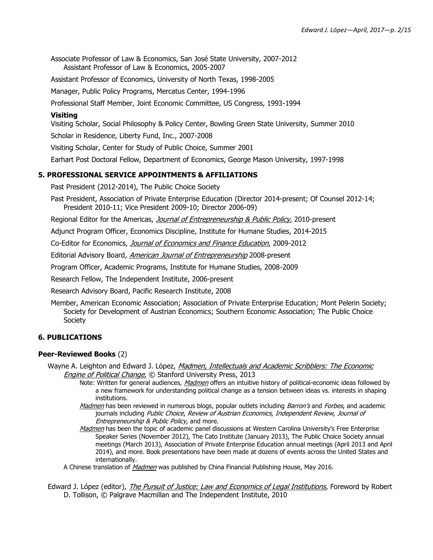Associate Professor of Law & Economics, San José State University, 2007-2012 Assistant Professor of Law & Economics, 2005-2007

Assistant Professor of Economics, University of North Texas, 1998-2005

Manager, Public Policy Programs, Mercatus Center, 1994-1996

Professional Staff Member, Joint Economic Committee, US Congress, 1993-1994

#### **Visiting**

Visiting Scholar, Social Philosophy & Policy Center, Bowling Green State University, Summer 2010

Scholar in Residence, Liberty Fund, Inc., 2007-2008

Visiting Scholar, Center for Study of Public Choice, Summer 2001

Earhart Post Doctoral Fellow, Department of Economics, George Mason University, 1997-1998

## **5. PROFESSIONAL SERVICE APPOINTMENTS & AFFILIATIONS**

Past President (2012-2014), The Public Choice Society

Past President, Association of Private Enterprise Education (Director 2014-present; Of Counsel 2012-14; President 2010-11; Vice President 2009-10; Director 2006-09)

Regional Editor for the Americas, Journal of Entrepreneurship & Public Policy, 2010-present

Adjunct Program Officer, Economics Discipline, Institute for Humane Studies, 2014-2015

Co-Editor for Economics, Journal of Economics and Finance Education, 2009-2012

Editorial Advisory Board, American Journal of Entrepreneurship 2008-present

Program Officer, Academic Programs, Institute for Humane Studies, 2008-2009

Research Fellow, The Independent Institute, 2006-present

Research Advisory Board, Pacific Research Institute, 2008

Member, American Economic Association; Association of Private Enterprise Education; Mont Pelerin Society; Society for Development of Austrian Economics; Southern Economic Association; The Public Choice **Society** 

## **6. PUBLICATIONS**

#### **Peer-Reviewed Books** (2)

Wayne A. Leighton and Edward J. López, Madmen, Intellectuals and Academic Scribblers: The Economic Engine of Political Change, © Stanford University Press. 2013

- Note: Written for general audiences, *Madmen* offers an intuitive history of political-economic ideas followed by a new framework for understanding political change as a tension between ideas vs. interests in shaping institutions.
- Madmen has been reviewed in numerous blogs, popular outlets including Barron's and Forbes, and academic journals including Public Choice, Review of Austrian Economics, Independent Review, Journal of Entrepreneurship & Public Policy, and more.
- Madmen has been the topic of academic panel discussions at Western Carolina University's Free Enterprise Speaker Series (November 2012), The Cato Institute (January 2013), The Public Choice Society annual meetings (March 2013), Association of Private Enterprise Education annual meetings (April 2013 and April 2014), and more. Book presentations have been made at dozens of events across the United States and internationally.

A Chinese translation of *Madmen* was published by China Financial Publishing House, May 2016.

Edward J. López (editor), *The Pursuit of Justice: Law and Economics of Legal Institutions*, Foreword by Robert D. Tollison, © Palgrave Macmillan and The Independent Institute, 2010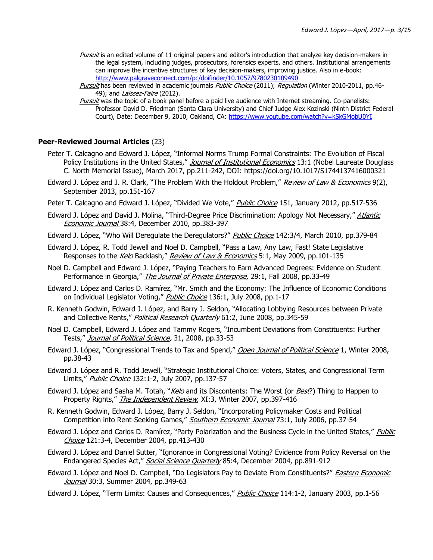Pursuit is an edited volume of 11 original papers and editor's introduction that analyze key decision-makers in the legal system, including judges, prosecutors, forensics experts, and others. Institutional arrangements can improve the incentive structures of key decision-makers, improving justice. Also in e-book: <http://www.palgraveconnect.com/pc/doifinder/10.1057/9780230109490>

Pursuit has been reviewed in academic journals Public Choice (2011); Regulation (Winter 2010-2011, pp.46-49); and *Laissez-Faire* (2012).

Pursuit was the topic of a book panel before a paid live audience with Internet streaming. Co-panelists: Professor David D. Friedman (Santa Clara University) and Chief Judge Alex Kozinski (Ninth District Federal Court), Date: December 9, 2010, Oakland, CA:<https://www.youtube.com/watch?v=kSkGMobU0YI>

## **Peer-Reviewed Journal Articles** (23)

- Peter T. Calcagno and Edward J. López, "Informal Norms Trump Formal Constraints: The Evolution of Fiscal Policy Institutions in the United States," Journal of Institutional Economics 13:1 (Nobel Laureate Douglass C. North Memorial Issue), March 2017, pp.211-242, DOI: https://doi.org/10.1017/S1744137416000321
- Edward J. López and J. R. Clark, "The Problem With the Holdout Problem," Review of Law & Economics 9(2), September 2013, pp.151-167
- Peter T. Calcagno and Edward J. López, "Divided We Vote," Public Choice 151, January 2012, pp.517-536
- Edward J. López and David J. Molina, "Third-Degree Price Discrimination: Apology Not Necessary," Atlantic Economic Journal 38:4, December 2010, pp.383-397
- Edward J. López, "Who Will Deregulate the Deregulators?" Public Choice 142:3/4, March 2010, pp.379-84
- Edward J. López, R. Todd Jewell and Noel D. Campbell, "Pass a Law, Any Law, Fast! State Legislative Responses to the Kelo Backlash," Review of Law & Economics 5:1, May 2009, pp.101-135
- Noel D. Campbell and Edward J. López, "Paying Teachers to Earn Advanced Degrees: Evidence on Student Performance in Georgia," The Journal of Private Enterprise, 29:1, Fall 2008, pp.33-49
- Edward J. López and Carlos D. Ramírez, "Mr. Smith and the Economy: The Influence of Economic Conditions on Individual Legislator Voting," Public Choice 136:1, July 2008, pp.1-17
- R. Kenneth Godwin, Edward J. López, and Barry J. Seldon, "Allocating Lobbying Resources between Private and Collective Rents," Political Research Quarterly 61:2, June 2008, pp.345-59
- Noel D. Campbell, Edward J. López and Tammy Rogers, "Incumbent Deviations from Constituents: Further Tests," Journal of Political Science, 31, 2008, pp.33-53
- Edward J. López, "Congressional Trends to Tax and Spend," Open Journal of Political Science 1, Winter 2008, pp.38-43
- Edward J. López and R. Todd Jewell, "Strategic Institutional Choice: Voters, States, and Congressional Term Limits," Public Choice 132:1-2, July 2007, pp.137-57
- Edward J. López and Sasha M. Totah, "*Kelo* and its Discontents: The Worst (or *Best*?) Thing to Happen to Property Rights," The Independent Review, XI:3, Winter 2007, pp.397-416
- R. Kenneth Godwin, Edward J. López, Barry J. Seldon, "Incorporating Policymaker Costs and Political Competition into Rent-Seeking Games," Southern Economic Journal 73:1, July 2006, pp.37-54
- Edward J. López and Carlos D. Ramírez, "Party Polarization and the Business Cycle in the United States," Public Choice 121:3-4, December 2004, pp.413-430
- Edward J. López and Daniel Sutter, "Ignorance in Congressional Voting? Evidence from Policy Reversal on the Endangered Species Act," Social Science Quarterly 85:4, December 2004, pp.891-912
- Edward J. López and Noel D. Campbell, "Do Legislators Pay to Deviate From Constituents?" *Eastern Economic* Journal 30:3, Summer 2004, pp.349-63
- Edward J. López, "Term Limits: Causes and Consequences," Public Choice 114:1-2, January 2003, pp.1-56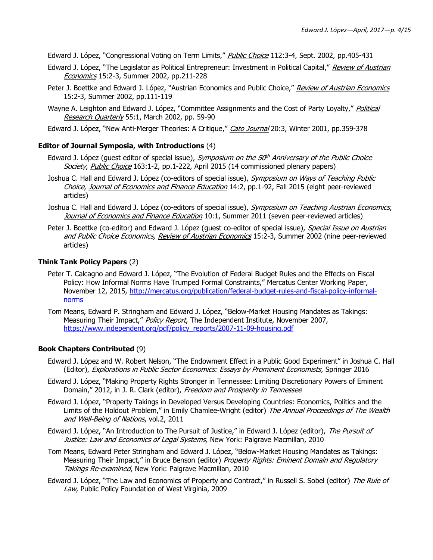Edward J. López, "Congressional Voting on Term Limits," Public Choice 112:3-4, Sept. 2002, pp.405-431

- Edward J. López, "The Legislator as Political Entrepreneur: Investment in Political Capital," Review of Austrian Economics 15:2-3, Summer 2002, pp.211-228
- Peter J. Boettke and Edward J. López, "Austrian Economics and Public Choice," Review of Austrian Economics 15:2-3, Summer 2002, pp.111-119
- Wayne A. Leighton and Edward J. López, "Committee Assignments and the Cost of Party Loyalty," Political Research Quarterly 55:1, March 2002, pp. 59-90

Edward J. López, "New Anti-Merger Theories: A Critique," Cato Journal 20:3, Winter 2001, pp.359-378

## **Editor of Journal Symposia, with Introductions** (4)

- Edward J. López (guest editor of special issue), *Symposium on the 50<sup>th</sup> Anniversary of the Public Choice* Society, Public Choice 163:1-2, pp.1-222, April 2015 (14 commissioned plenary papers)
- Joshua C. Hall and Edward J. López (co-editors of special issue), Symposium on Ways of Teaching Public Choice, Journal of Economics and Finance Education 14:2, pp.1-92, Fall 2015 (eight peer-reviewed articles)
- Joshua C. Hall and Edward J. López (co-editors of special issue), Symposium on Teaching Austrian Economics, Journal of Economics and Finance Education 10:1, Summer 2011 (seven peer-reviewed articles)
- Peter J. Boettke (co-editor) and Edward J. López (quest co-editor of special issue), *Special Issue on Austrian* and Public Choice Economics, Review of Austrian Economics 15:2-3, Summer 2002 (nine peer-reviewed articles)

# **Think Tank Policy Papers** (2)

- Peter T. Calcagno and Edward J. López, "The Evolution of Federal Budget Rules and the Effects on Fiscal Policy: How Informal Norms Have Trumped Formal Constraints," Mercatus Center Working Paper, November 12, 2015, [http://mercatus.org/publication/federal-budget-rules-and-fiscal-policy-informal](http://mercatus.org/publication/federal-budget-rules-and-fiscal-policy-informal-norms)[norms](http://mercatus.org/publication/federal-budget-rules-and-fiscal-policy-informal-norms)
- Tom Means, Edward P. Stringham and Edward J. López, "Below-Market Housing Mandates as Takings: Measuring Their Impact," Policy Report, The Independent Institute, November 2007, [https://www.independent.org/pdf/policy\\_reports/2007-11-09-housing.pdf](https://www.independent.org/pdf/policy_reports/2007-11-09-housing.pdf)

## **Book Chapters Contributed** (9)

- Edward J. López and W. Robert Nelson, "The Endowment Effect in a Public Good Experiment" in Joshua C. Hall (Editor), Explorations in Public Sector Economics: Essays by Prominent Economists, Springer 2016
- Edward J. López, "Making Property Rights Stronger in Tennessee: Limiting Discretionary Powers of Eminent Domain," 2012, in J. R. Clark (editor), Freedom and Prosperity in Tennessee
- Edward J. López, "Property Takings in Developed Versus Developing Countries: Economics, Politics and the Limits of the Holdout Problem," in Emily Chamlee-Wright (editor) The Annual Proceedings of The Wealth and Well-Being of Nations, vol.2, 2011
- Edward J. López, "An Introduction to The Pursuit of Justice," in Edward J. López (editor), The Pursuit of Justice: Law and Economics of Legal Systems, New York: Palgrave Macmillan, 2010
- Tom Means, Edward Peter Stringham and Edward J. López, "Below-Market Housing Mandates as Takings: Measuring Their Impact," in Bruce Benson (editor) Property Rights: Eminent Domain and Regulatory Takings Re-examined, New York: Palgrave Macmillan, 2010
- Edward J. López, "The Law and Economics of Property and Contract," in Russell S. Sobel (editor) The Rule of Law, Public Policy Foundation of West Virginia, 2009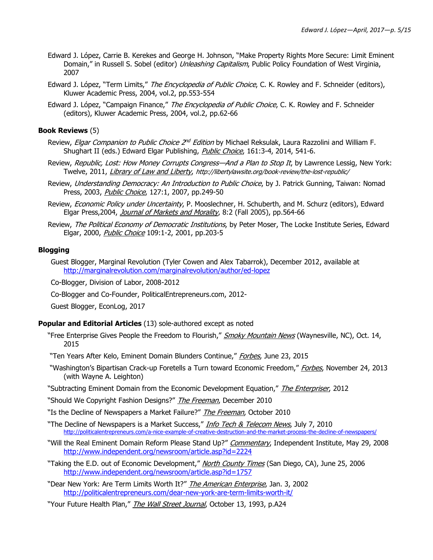- Edward J. López, Carrie B. Kerekes and George H. Johnson, "Make Property Rights More Secure: Limit Eminent Domain," in Russell S. Sobel (editor) *Unleashing Capitalism*, Public Policy Foundation of West Virginia, 2007
- Edward J. López, "Term Limits," The Encyclopedia of Public Choice, C. K. Rowley and F. Schneider (editors), Kluwer Academic Press, 2004, vol.2, pp.553-554
- Edward J. López, "Campaign Finance," The Encyclopedia of Public Choice, C. K. Rowley and F. Schneider (editors), Kluwer Academic Press, 2004, vol.2, pp.62-66

#### **Book Reviews** (5)

- Review, *Elgar Companion to Public Choice 2<sup>nd</sup> Edition* by Michael Reksulak, Laura Razzolini and William F. Shughart II (eds.) Edward Elgar Publishing, *Public Choice*, 161:3-4, 2014, 541-6.
- Review, Republic, Lost: How Money Corrupts Congress-And a Plan to Stop It, by Lawrence Lessig, New York: Twelve, 2011, Library of Law and Liberty, <http://libertylawsite.org/book-review/the-lost-republic/>
- Review, Understanding Democracy: An Introduction to Public Choice, by J. Patrick Gunning, Taiwan: Nomad Press, 2003, Public Choice, 127:1, 2007, pp.249-50
- Review, Economic Policy under Uncertainty, P. Mooslechner, H. Schuberth, and M. Schurz (editors), Edward Elgar Press, 2004, Journal of Markets and Morality, 8:2 (Fall 2005), pp.564-66
- Review, The Political Economy of Democratic Institutions, by Peter Moser, The Locke Institute Series, Edward Elgar, 2000, Public Choice 109:1-2, 2001, pp.203-5

#### **Blogging**

Guest Blogger, Marginal Revolution (Tyler Cowen and Alex Tabarrok), December 2012, available at <http://marginalrevolution.com/marginalrevolution/author/ed-lopez>

Co-Blogger, Division of Labor, 2008-2012

Co-Blogger and Co-Founder, PoliticalEntrepreneurs.com, 2012-

Guest Blogger, EconLog, 2017

#### **Popular and Editorial Articles** (13) sole-authored except as noted

- "Free Enterprise Gives People the Freedom to Flourish," Smoky Mountain News (Waynesville, NC), Oct. 14, 2015
- "Ten Years After Kelo, Eminent Domain Blunders Continue," Forbes, June 23, 2015
- "Washington's Bipartisan Crack-up Foretells a Turn toward Economic Freedom," Forbes, November 24, 2013 (with Wayne A. Leighton)
- "Subtracting Eminent Domain from the Economic Development Equation," The Enterpriser, 2012

"Should We Copyright Fashion Designs?" *The Freeman*, December 2010

"Is the Decline of Newspapers a Market Failure?" The Freeman, October 2010

"The Decline of Newspapers is a Market Success," *Info Tech & Telecom News*, July 7, 2010 <http://politicalentrepreneurs.com/a-nice-example-of-creative-destruction-and-the-market-process-the-decline-of-newspapers/>

- "Will the Real Eminent Domain Reform Please Stand Up?" Commentary, Independent Institute, May 29, 2008 <http://www.independent.org/newsroom/article.asp?id=2224>
- "Taking the E.D. out of Economic Development," North County Times (San Diego, CA), June 25, 2006 <http://www.independent.org/newsroom/article.asp?id=1757>
- "Dear New York: Are Term Limits Worth It?" *The American Enterprise*, Jan. 3, 2002 <http://politicalentrepreneurs.com/dear-new-york-are-term-limits-worth-it/>
- "Your Future Health Plan," *The Wall Street Journal*, October 13, 1993, p.A24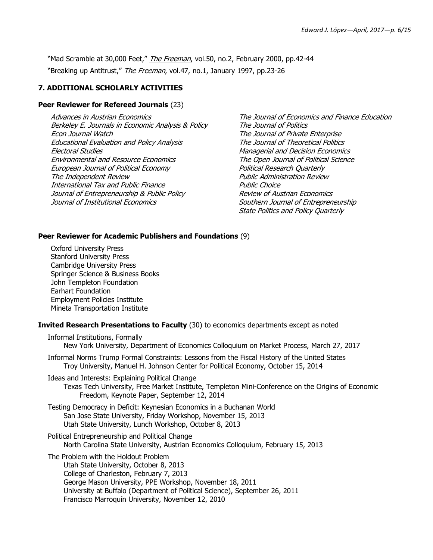"Mad Scramble at 30,000 Feet," *The Freeman*, vol.50, no.2, February 2000, pp.42-44 "Breaking up Antitrust," The Freeman, vol.47, no.1, January 1997, pp.23-26

# **7. ADDITIONAL SCHOLARLY ACTIVITIES**

#### **Peer Reviewer for Refereed Journals** (23)

Advances in Austrian Economics Berkeley E. Journals in Economic Analysis & Policy Econ Journal Watch Educational Evaluation and Policy Analysis Electoral Studies Environmental and Resource Economics European Journal of Political Economy The Independent Review International Tax and Public Finance Journal of Entrepreneurship & Public Policy Journal of Institutional Economics

The Journal of Economics and Finance Education The Journal of Politics The Journal of Private Enterprise The Journal of Theoretical Politics Managerial and Decision Economics The Open Journal of Political Science Political Research Quarterly Public Administration Review Public Choice Review of Austrian Economics Southern Journal of Entrepreneurship State Politics and Policy Quarterly

## **Peer Reviewer for Academic Publishers and Foundations** (9)

Oxford University Press Stanford University Press Cambridge University Press Springer Science & Business Books John Templeton Foundation Earhart Foundation Employment Policies Institute Mineta Transportation Institute

## **Invited Research Presentations to Faculty** (30) to economics departments except as noted

| New York University, Department of Economics Colloquium on Market Process, March 27, 2017                                                                                                                                                                                                                                 |
|---------------------------------------------------------------------------------------------------------------------------------------------------------------------------------------------------------------------------------------------------------------------------------------------------------------------------|
| Informal Norms Trump Formal Constraints: Lessons from the Fiscal History of the United States<br>Troy University, Manuel H. Johnson Center for Political Economy, October 15, 2014                                                                                                                                        |
| Ideas and Interests: Explaining Political Change<br>Texas Tech University, Free Market Institute, Templeton Mini-Conference on the Origins of Economic<br>Freedom, Keynote Paper, September 12, 2014                                                                                                                      |
| Testing Democracy in Deficit: Keynesian Economics in a Buchanan World<br>San Jose State University, Friday Workshop, November 15, 2013<br>Utah State University, Lunch Workshop, October 8, 2013                                                                                                                          |
| Political Entrepreneurship and Political Change<br>North Carolina State University, Austrian Economics Colloquium, February 15, 2013                                                                                                                                                                                      |
| The Problem with the Holdout Problem<br>Utah State University, October 8, 2013<br>College of Charleston, February 7, 2013<br>George Mason University, PPE Workshop, November 18, 2011<br>University at Buffalo (Department of Political Science), September 26, 2011<br>Francisco Marroquín University, November 12, 2010 |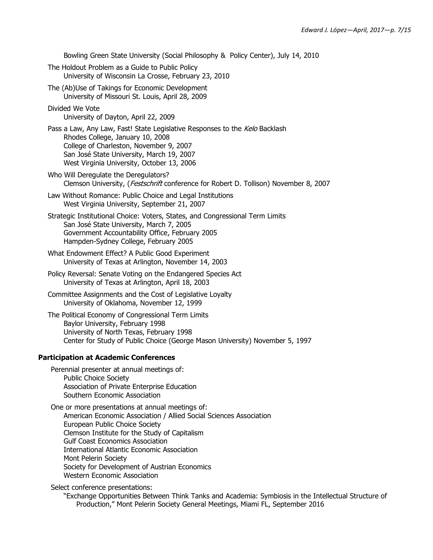Bowling Green State University (Social Philosophy & Policy Center), July 14, 2010 The Holdout Problem as a Guide to Public Policy University of Wisconsin La Crosse, February 23, 2010 The (Ab)Use of Takings for Economic Development University of Missouri St. Louis, April 28, 2009 Divided We Vote University of Dayton, April 22, 2009 Pass a Law, Any Law, Fast! State Legislative Responses to the Kelo Backlash Rhodes College, January 10, 2008 College of Charleston, November 9, 2007 San José State University, March 19, 2007 West Virginia University, October 13, 2006 Who Will Deregulate the Deregulators? Clemson University, (Festschrift conference for Robert D. Tollison) November 8, 2007 Law Without Romance: Public Choice and Legal Institutions West Virginia University, September 21, 2007 Strategic Institutional Choice: Voters, States, and Congressional Term Limits San José State University, March 7, 2005 Government Accountability Office, February 2005 Hampden-Sydney College, February 2005 What Endowment Effect? A Public Good Experiment University of Texas at Arlington, November 14, 2003 Policy Reversal: Senate Voting on the Endangered Species Act University of Texas at Arlington, April 18, 2003 Committee Assignments and the Cost of Legislative Loyalty University of Oklahoma, November 12, 1999 The Political Economy of Congressional Term Limits Baylor University, February 1998 University of North Texas, February 1998 Center for Study of Public Choice (George Mason University) November 5, 1997 **Participation at Academic Conferences** Perennial presenter at annual meetings of: Public Choice Society Association of Private Enterprise Education Southern Economic Association One or more presentations at annual meetings of: American Economic Association / Allied Social Sciences Association European Public Choice Society Clemson Institute for the Study of Capitalism Gulf Coast Economics Association International Atlantic Economic Association Mont Pelerin Society Society for Development of Austrian Economics Western Economic Association

Select conference presentations:

"Exchange Opportunities Between Think Tanks and Academia: Symbiosis in the Intellectual Structure of Production," Mont Pelerin Society General Meetings, Miami FL, September 2016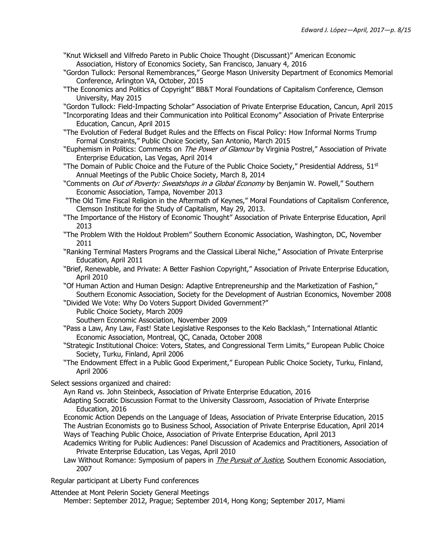- "Knut Wicksell and Vilfredo Pareto in Public Choice Thought (Discussant)" American Economic Association, History of Economics Society, San Francisco, January 4, 2016
- "Gordon Tullock: Personal Remembrances," George Mason University Department of Economics Memorial Conference, Arlington VA, October, 2015
- "The Economics and Politics of Copyright" BB&T Moral Foundations of Capitalism Conference, Clemson University, May 2015

"Gordon Tullock: Field-Impacting Scholar" Association of Private Enterprise Education, Cancun, April 2015

- "Incorporating Ideas and their Communication into Political Economy" Association of Private Enterprise Education, Cancun, April 2015
- "The Evolution of Federal Budget Rules and the Effects on Fiscal Policy: How Informal Norms Trump Formal Constraints," Public Choice Society, San Antonio, March 2015
- "Euphemism in Politics: Comments on The Power of Glamour by Virginia Postrel," Association of Private Enterprise Education, Las Vegas, April 2014
- "The Domain of Public Choice and the Future of the Public Choice Society," Presidential Address, 51st Annual Meetings of the Public Choice Society, March 8, 2014
- "Comments on *Out of Poverty: Sweatshops in a Global Economy* by Benjamin W. Powell," Southern Economic Association, Tampa, November 2013
- "The Old Time Fiscal Religion in the Aftermath of Keynes," Moral Foundations of Capitalism Conference, Clemson Institute for the Study of Capitalism, May 29, 2013.
- "The Importance of the History of Economic Thought" Association of Private Enterprise Education, April 2013
- "The Problem With the Holdout Problem" Southern Economic Association, Washington, DC, November 2011
- "Ranking Terminal Masters Programs and the Classical Liberal Niche," Association of Private Enterprise Education, April 2011
- "Brief, Renewable, and Private: A Better Fashion Copyright," Association of Private Enterprise Education, April 2010
- "Of Human Action and Human Design: Adaptive Entrepreneurship and the Marketization of Fashion," Southern Economic Association, Society for the Development of Austrian Economics, November 2008
- "Divided We Vote: Why Do Voters Support Divided Government?"

Public Choice Society, March 2009

Southern Economic Association, November 2009

- "Pass a Law, Any Law, Fast! State Legislative Responses to the Kelo Backlash," International Atlantic Economic Association, Montreal, QC, Canada, October 2008
- "Strategic Institutional Choice: Voters, States, and Congressional Term Limits," European Public Choice Society, Turku, Finland, April 2006
- "The Endowment Effect in a Public Good Experiment," European Public Choice Society, Turku, Finland, April 2006

Select sessions organized and chaired:

Ayn Rand vs. John Steinbeck, Association of Private Enterprise Education, 2016

Adapting Socratic Discussion Format to the University Classroom, Association of Private Enterprise Education, 2016

Economic Action Depends on the Language of Ideas, Association of Private Enterprise Education, 2015 The Austrian Economists go to Business School, Association of Private Enterprise Education, April 2014 Ways of Teaching Public Choice, Association of Private Enterprise Education, April 2013

- Academics Writing for Public Audiences: Panel Discussion of Academics and Practitioners, Association of Private Enterprise Education, Las Vegas, April 2010
- Law Without Romance: Symposium of papers in *The Pursuit of Justice*, Southern Economic Association, 2007

Regular participant at Liberty Fund conferences

Attendee at Mont Pelerin Society General Meetings

Member: September 2012, Prague; September 2014, Hong Kong; September 2017, Miami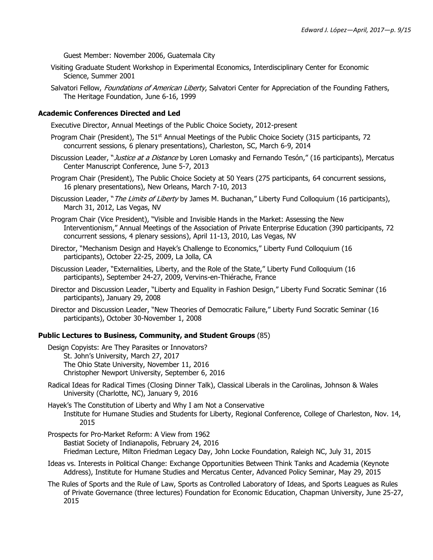Guest Member: November 2006, Guatemala City

- Visiting Graduate Student Workshop in Experimental Economics, Interdisciplinary Center for Economic Science, Summer 2001
- Salvatori Fellow, Foundations of American Liberty, Salvatori Center for Appreciation of the Founding Fathers, The Heritage Foundation, June 6-16, 1999

#### **Academic Conferences Directed and Led**

Executive Director, Annual Meetings of the Public Choice Society, 2012-present

- Program Chair (President), The 51<sup>st</sup> Annual Meetings of the Public Choice Society (315 participants, 72 concurrent sessions, 6 plenary presentations), Charleston, SC, March 6-9, 2014
- Discussion Leader, "Justice at a Distance by Loren Lomasky and Fernando Tesón," (16 participants), Mercatus Center Manuscript Conference, June 5-7, 2013
- Program Chair (President), The Public Choice Society at 50 Years (275 participants, 64 concurrent sessions, 16 plenary presentations), New Orleans, March 7-10, 2013
- Discussion Leader, "*The Limits of Liberty* by James M. Buchanan," Liberty Fund Colloquium (16 participants), March 31, 2012, Las Vegas, NV
- Program Chair (Vice President), "Visible and Invisible Hands in the Market: Assessing the New Interventionism," Annual Meetings of the Association of Private Enterprise Education (390 participants, 72 concurrent sessions, 4 plenary sessions), April 11-13, 2010, Las Vegas, NV
- Director, "Mechanism Design and Hayek's Challenge to Economics," Liberty Fund Colloquium (16 participants), October 22-25, 2009, La Jolla, CA
- Discussion Leader, "Externalities, Liberty, and the Role of the State," Liberty Fund Colloquium (16 participants), September 24-27, 2009, Vervins-en-Thiérache, France
- Director and Discussion Leader, "Liberty and Equality in Fashion Design," Liberty Fund Socratic Seminar (16 participants), January 29, 2008

Director and Discussion Leader, "New Theories of Democratic Failure," Liberty Fund Socratic Seminar (16 participants), October 30-November 1, 2008

#### **Public Lectures to Business, Community, and Student Groups** (85)

Design Copyists: Are They Parasites or Innovators? St. John's University, March 27, 2017 The Ohio State University, November 11, 2016 Christopher Newport University, September 6, 2016

Radical Ideas for Radical Times (Closing Dinner Talk), Classical Liberals in the Carolinas, Johnson & Wales University (Charlotte, NC), January 9, 2016

Hayek's The Constitution of Liberty and Why I am Not a Conservative Institute for Humane Studies and Students for Liberty, Regional Conference, College of Charleston, Nov. 14, 2015

Prospects for Pro-Market Reform: A View from 1962 Bastiat Society of Indianapolis, February 24, 2016 Friedman Lecture, Milton Friedman Legacy Day, John Locke Foundation, Raleigh NC, July 31, 2015

- Ideas vs. Interests in Political Change: Exchange Opportunities Between Think Tanks and Academia (Keynote Address), Institute for Humane Studies and Mercatus Center, Advanced Policy Seminar, May 29, 2015
- The Rules of Sports and the Rule of Law, Sports as Controlled Laboratory of Ideas, and Sports Leagues as Rules of Private Governance (three lectures) Foundation for Economic Education, Chapman University, June 25-27, 2015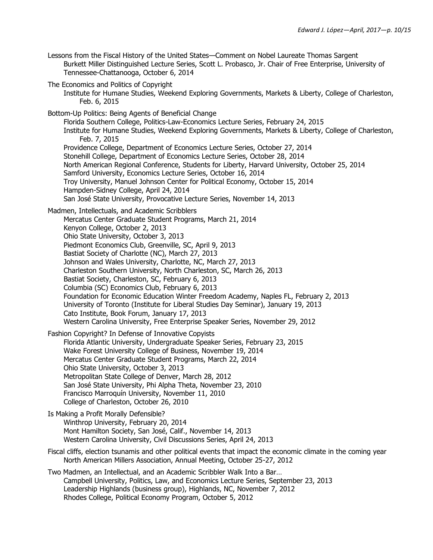- Lessons from the Fiscal History of the United States—Comment on Nobel Laureate Thomas Sargent Burkett Miller Distinguished Lecture Series, Scott L. Probasco, Jr. Chair of Free Enterprise, University of Tennessee-Chattanooga, October 6, 2014
- The Economics and Politics of Copyright
	- Institute for Humane Studies, Weekend Exploring Governments, Markets & Liberty, College of Charleston, Feb. 6, 2015
- Bottom-Up Politics: Being Agents of Beneficial Change

Florida Southern College, Politics-Law-Economics Lecture Series, February 24, 2015 Institute for Humane Studies, Weekend Exploring Governments, Markets & Liberty, College of Charleston, Feb. 7, 2015 Providence College, Department of Economics Lecture Series, October 27, 2014 Stonehill College, Department of Economics Lecture Series, October 28, 2014 North American Regional Conference, Students for Liberty, Harvard University, October 25, 2014 Samford University, Economics Lecture Series, October 16, 2014 Troy University, Manuel Johnson Center for Political Economy, October 15, 2014 Hampden-Sidney College, April 24, 2014 San José State University, Provocative Lecture Series, November 14, 2013

Madmen, Intellectuals, and Academic Scribblers

Mercatus Center Graduate Student Programs, March 21, 2014 Kenyon College, October 2, 2013 Ohio State University, October 3, 2013 Piedmont Economics Club, Greenville, SC, April 9, 2013 Bastiat Society of Charlotte (NC), March 27, 2013 Johnson and Wales University, Charlotte, NC, March 27, 2013 Charleston Southern University, North Charleston, SC, March 26, 2013 Bastiat Society, Charleston, SC, February 6, 2013 Columbia (SC) Economics Club, February 6, 2013 Foundation for Economic Education Winter Freedom Academy, Naples FL, February 2, 2013 University of Toronto (Institute for Liberal Studies Day Seminar), January 19, 2013 Cato Institute, Book Forum, January 17, 2013 Western Carolina University, Free Enterprise Speaker Series, November 29, 2012

Fashion Copyright? In Defense of Innovative Copyists Florida Atlantic University, Undergraduate Speaker Series, February 23, 2015 Wake Forest University College of Business, November 19, 2014 Mercatus Center Graduate Student Programs, March 22, 2014 Ohio State University, October 3, 2013 Metropolitan State College of Denver, March 28, 2012 San José State University, Phi Alpha Theta, November 23, 2010 Francisco Marroquín University, November 11, 2010 College of Charleston, October 26, 2010

Is Making a Profit Morally Defensible? Winthrop University, February 20, 2014 Mont Hamilton Society, San José, Calif., November 14, 2013 Western Carolina University, Civil Discussions Series, April 24, 2013

- Fiscal cliffs, election tsunamis and other political events that impact the economic climate in the coming year North American Millers Association, Annual Meeting, October 25-27, 2012
- Two Madmen, an Intellectual, and an Academic Scribbler Walk Into a Bar… Campbell University, Politics, Law, and Economics Lecture Series, September 23, 2013 Leadership Highlands (business group), Highlands, NC, November 7, 2012 Rhodes College, Political Economy Program, October 5, 2012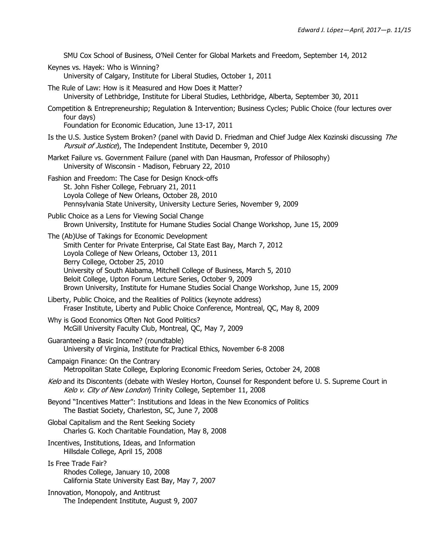SMU Cox School of Business, O'Neil Center for Global Markets and Freedom, September 14, 2012

Keynes vs. Hayek: Who is Winning? University of Calgary, Institute for Liberal Studies, October 1, 2011

The Rule of Law: How is it Measured and How Does it Matter? University of Lethbridge, Institute for Liberal Studies, Lethbridge, Alberta, September 30, 2011 Competition & Entrepreneurship; Regulation & Intervention; Business Cycles; Public Choice (four lectures over four days)

Foundation for Economic Education, June 13-17, 2011

Is the U.S. Justice System Broken? (panel with David D. Friedman and Chief Judge Alex Kozinski discussing The Pursuit of Justice), The Independent Institute, December 9, 2010

Market Failure vs. Government Failure (panel with Dan Hausman, Professor of Philosophy) University of Wisconsin - Madison, February 22, 2010

Fashion and Freedom: The Case for Design Knock-offs St. John Fisher College, February 21, 2011 Loyola College of New Orleans, October 28, 2010 Pennsylvania State University, University Lecture Series, November 9, 2009

Public Choice as a Lens for Viewing Social Change Brown University, Institute for Humane Studies Social Change Workshop, June 15, 2009

The (Ab)Use of Takings for Economic Development Smith Center for Private Enterprise, Cal State East Bay, March 7, 2012 Loyola College of New Orleans, October 13, 2011 Berry College, October 25, 2010 University of South Alabama, Mitchell College of Business, March 5, 2010 Beloit College, Upton Forum Lecture Series, October 9, 2009 Brown University, Institute for Humane Studies Social Change Workshop, June 15, 2009

Liberty, Public Choice, and the Realities of Politics (keynote address) Fraser Institute, Liberty and Public Choice Conference, Montreal, QC, May 8, 2009

Why is Good Economics Often Not Good Politics? McGill University Faculty Club, Montreal, QC, May 7, 2009

Guaranteeing a Basic Income? (roundtable) University of Virginia, Institute for Practical Ethics, November 6-8 2008

- Campaign Finance: On the Contrary Metropolitan State College, Exploring Economic Freedom Series, October 24, 2008
- Kelo and its Discontents (debate with Wesley Horton, Counsel for Respondent before U. S. Supreme Court in Kelo v. City of New London) Trinity College, September 11, 2008

Beyond "Incentives Matter": Institutions and Ideas in the New Economics of Politics The Bastiat Society, Charleston, SC, June 7, 2008

Global Capitalism and the Rent Seeking Society Charles G. Koch Charitable Foundation, May 8, 2008

Incentives, Institutions, Ideas, and Information Hillsdale College, April 15, 2008

Is Free Trade Fair? Rhodes College, January 10, 2008 California State University East Bay, May 7, 2007

Innovation, Monopoly, and Antitrust The Independent Institute, August 9, 2007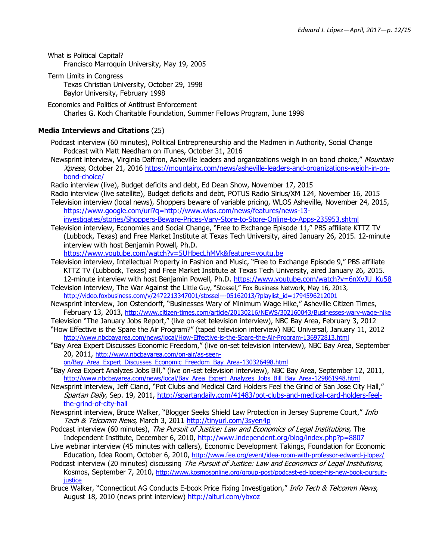What is Political Capital? Francisco Marroquín University, May 19, 2005

- Term Limits in Congress Texas Christian University, October 29, 1998 Baylor University, February 1998
- Economics and Politics of Antitrust Enforcement Charles G. Koch Charitable Foundation, Summer Fellows Program, June 1998

## **Media Interviews and Citations** (25)

Podcast interview (60 minutes), Political Entrepreneurship and the Madmen in Authority, Social Change Podcast with Matt Needham on iTunes, October 31, 2016

Newsprint interview, Virginia Daffron, Asheville leaders and organizations weigh in on bond choice," Mountain Xpress, October 21, 2016 [https://mountainx.com/news/asheville-leaders-and-organizations-weigh-in-on](https://mountainx.com/news/asheville-leaders-and-organizations-weigh-in-on-bond-choice/)[bond-choice/](https://mountainx.com/news/asheville-leaders-and-organizations-weigh-in-on-bond-choice/)

Radio interview (live), Budget deficits and debt, Ed Dean Show, November 17, 2015

- Radio interview (live satellite), Budget deficits and debt, POTUS Radio Sirius/XM 124, November 16, 2015 Television interview (local news), Shoppers beware of variable pricing, WLOS Asheville, November 24, 2015, [https://www.google.com/url?q=http://www.wlos.com/news/features/news-13](https://www.google.com/url?q=http://www.wlos.com/news/features/news-13-investigates/stories/Shoppers-Beware-Prices-Vary-Store-to-Store-Online-to-Apps-235953.shtml) [investigates/stories/Shoppers-Beware-Prices-Vary-Store-to-Store-Online-to-Apps-235953.shtml](https://www.google.com/url?q=http://www.wlos.com/news/features/news-13-investigates/stories/Shoppers-Beware-Prices-Vary-Store-to-Store-Online-to-Apps-235953.shtml)
- Television interview, Economies and Social Change, "Free to Exchange Episode 11," PBS affiliate KTTZ TV (Lubbock, Texas) and Free Market Institute at Texas Tech University, aired January 26, 2015. 12-minute interview with host Benjamin Powell, Ph.D.

<https://www.youtube.com/watch?v=5UHbecLhMVk&feature=youtu.be>

- Television interview, Intellectual Property in Fashion and Music, "Free to Exchange Episode 9," PBS affiliate KTTZ TV (Lubbock, Texas) and Free Market Institute at Texas Tech University, aired January 26, 2015. 12-minute interview with host Benjamin Powell, Ph.D. [https://www.youtube.com/watch?v=6nXvJU\\_Ku58](https://www.youtube.com/watch?v=6nXvJU_Ku58)
- Television interview, The War Against the Little Guy, "Stossel," Fox Business Network, May 16, 2013, [http://video.foxbusiness.com/v/2472213347001/stossel---05162013/?playlist\\_id=1794596212001](http://video.foxbusiness.com/v/2472213347001/stossel---05162013/?playlist_id=1794596212001)
- Newsprint interview, Jon Ostendorff, "Businesses Wary of Minimum Wage Hike," Asheville Citizen Times, February 13, 2013, <http://www.citizen-times.com/article/20130216/NEWS/302160043/Businesses-wary-wage-hike>
- Television "The January Jobs Report," (live on-set television interview), NBC Bay Area, February 3, 2012 "How Effective is the Spare the Air Program?" (taped television interview) NBC Universal, January 11, 2012
- <http://www.nbcbayarea.com/news/local/How-Effective-is-the-Spare-the-Air-Program-136972813.html> "Bay Area Expert Discusses Economic Freedom," (live on-set television interview), NBC Bay Area, September 20, 2011, [http://www.nbcbayarea.com/on-air/as-seen-](http://www.nbcbayarea.com/on-air/as-seen-on/Bay_Area_Expert_Discusses_Economic_Freedom_Bay_Area-130326498.html)

[on/Bay\\_Area\\_Expert\\_Discusses\\_Economic\\_Freedom\\_Bay\\_Area-130326498.html](http://www.nbcbayarea.com/on-air/as-seen-on/Bay_Area_Expert_Discusses_Economic_Freedom_Bay_Area-130326498.html)

- "Bay Area Expert Analyzes Jobs Bill," (live on-set television interview), NBC Bay Area, September 12, 2011, [http://www.nbcbayarea.com/news/local/Bay\\_Area\\_Expert\\_Analyzes\\_Jobs\\_Bill\\_Bay\\_Area-129861948.html](http://www.nbcbayarea.com/news/local/Bay_Area_Expert_Analyzes_Jobs_Bill_Bay_Area-129861948.html)
- Newsprint interview, Jeff Cianci, "Pot Clubs and Medical Card Holders Feel the Grind of San Jose City Hall," Spartan Daily, Sep. 19, 2011, [http://spartandaily.com/41483/pot-clubs-and-medical-card-holders-feel](http://spartandaily.com/41483/pot-clubs-and-medical-card-holders-feel-the-grind-of-city-hall)[the-grind-of-city-hall](http://spartandaily.com/41483/pot-clubs-and-medical-card-holders-feel-the-grind-of-city-hall)
- Newsprint interview, Bruce Walker, "Blogger Seeks Shield Law Protection in Jersey Supreme Court," Info Tech & Telcomm News, March 3, 2011<http://tinyurl.com/3syen4p>
- Podcast interview (60 minutes), The Pursuit of Justice: Law and Economics of Legal Institutions, The Independent Institute, December 6, 2010,<http://www.independent.org/blog/index.php?p=8807>
- Live webinar interview (45 minutes with callers), Economic Development Takings, Foundation for Economic Education, Idea Room, October 6, 2010, <http://www.fee.org/event/idea-room-with-professor-edward-j-lopez/>
- Podcast interview (20 minutes) discussing The Pursuit of Justice: Law and Economics of Legal Institutions, Kosmos, September 7, 2010, [http://www.kosmosonline.org/group-post/podcast-ed-lopez-his-new-book-pursuit](http://www.kosmosonline.org/group-post/podcast-ed-lopez-his-new-book-pursuit-justice)[justice](http://www.kosmosonline.org/group-post/podcast-ed-lopez-his-new-book-pursuit-justice)
- Bruce Walker, "Connecticut AG Conducts E-book Price Fixing Investigation," Info Tech & Telcomm News, August 18, 2010 (news print interview)<http://alturl.com/ybxoz>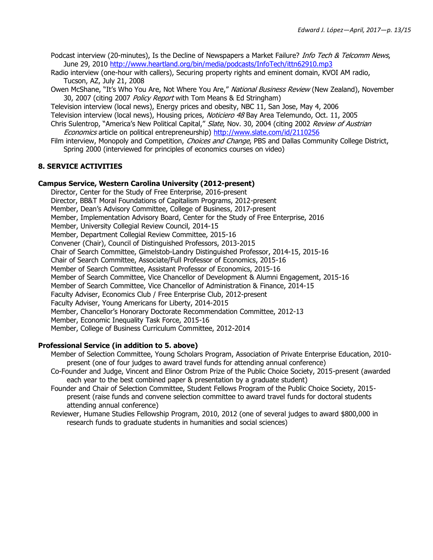Podcast interview (20-minutes), Is the Decline of Newspapers a Market Failure? *Info Tech & Telcomm News*, June 29, 2010 <http://www.heartland.org/bin/media/podcasts/InfoTech/ittn62910.mp3>

Radio interview (one-hour with callers), Securing property rights and eminent domain, KVOI AM radio, Tucson, AZ, July 21, 2008

Owen McShane, "It's Who You Are, Not Where You Are," National Business Review (New Zealand), November 30, 2007 (citing 2007 Policy Report with Tom Means & Ed Stringham)

Television interview (local news), Energy prices and obesity, NBC 11, San Jose, May 4, 2006

Television interview (local news), Housing prices, Noticiero 48 Bay Area Telemundo, Oct. 11, 2005

Chris Sulentrop, "America's New Political Capital," Slate, Nov. 30, 2004 (citing 2002 Review of Austrian Economics article on political entrepreneurship) <http://www.slate.com/id/2110256>

Film interview, Monopoly and Competition, Choices and Change, PBS and Dallas Community College District, Spring 2000 (interviewed for principles of economics courses on video)

#### **8. SERVICE ACTIVITIES**

#### **Campus Service, Western Carolina University (2012-present)**

Director, Center for the Study of Free Enterprise, 2016-present Director, BB&T Moral Foundations of Capitalism Programs, 2012-present Member, Dean's Advisory Committee, College of Business, 2017-present Member, Implementation Advisory Board, Center for the Study of Free Enterprise, 2016 Member, University Collegial Review Council, 2014-15 Member, Department Collegial Review Committee, 2015-16 Convener (Chair), Council of Distinguished Professors, 2013-2015 Chair of Search Committee, Gimelstob-Landry Distinguished Professor, 2014-15, 2015-16 Chair of Search Committee, Associate/Full Professor of Economics, 2015-16 Member of Search Committee, Assistant Professor of Economics, 2015-16 Member of Search Committee, Vice Chancellor of Development & Alumni Engagement, 2015-16 Member of Search Committee, Vice Chancellor of Administration & Finance, 2014-15 Faculty Adviser, Economics Club / Free Enterprise Club, 2012-present Faculty Adviser, Young Americans for Liberty, 2014-2015 Member, Chancellor's Honorary Doctorate Recommendation Committee, 2012-13 Member, Economic Inequality Task Force, 2015-16 Member, College of Business Curriculum Committee, 2012-2014

### **Professional Service (in addition to 5. above)**

- Member of Selection Committee, Young Scholars Program, Association of Private Enterprise Education, 2010 present (one of four judges to award travel funds for attending annual conference)
- Co-Founder and Judge, Vincent and Elinor Ostrom Prize of the Public Choice Society, 2015-present (awarded each year to the best combined paper & presentation by a graduate student)
- Founder and Chair of Selection Committee, Student Fellows Program of the Public Choice Society, 2015 present (raise funds and convene selection committee to award travel funds for doctoral students attending annual conference)
- Reviewer, Humane Studies Fellowship Program, 2010, 2012 (one of several judges to award \$800,000 in research funds to graduate students in humanities and social sciences)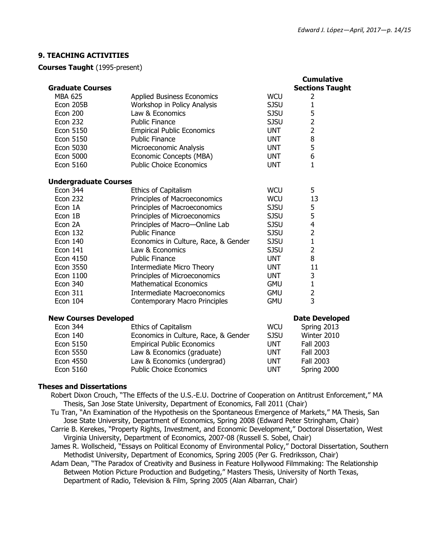## **9. TEACHING ACTIVITIES**

**Courses Taught** (1995-present)

|                              |                                      |             | <b>Cumulative</b>      |  |  |
|------------------------------|--------------------------------------|-------------|------------------------|--|--|
| <b>Graduate Courses</b>      |                                      |             | <b>Sections Taught</b> |  |  |
| <b>MBA 625</b>               | <b>Applied Business Economics</b>    | <b>WCU</b>  | 2                      |  |  |
| Econ 205B                    | Workshop in Policy Analysis          | <b>SJSU</b> | $\mathbf{1}$           |  |  |
| <b>Econ 200</b>              | Law & Economics                      | <b>SJSU</b> | 5                      |  |  |
| <b>Econ 232</b>              | <b>Public Finance</b>                | <b>SJSU</b> | $\overline{2}$         |  |  |
| Econ 5150                    | <b>Empirical Public Economics</b>    | <b>UNT</b>  | $\overline{2}$         |  |  |
| Econ 5150                    | <b>Public Finance</b>                | <b>UNT</b>  | 8                      |  |  |
| Econ 5030                    | Microeconomic Analysis               | <b>UNT</b>  | 5                      |  |  |
| <b>Econ 5000</b>             | Economic Concepts (MBA)              | <b>UNT</b>  | 6                      |  |  |
| <b>Econ 5160</b>             | <b>Public Choice Economics</b>       | <b>UNT</b>  | $\mathbf{1}$           |  |  |
| <b>Undergraduate Courses</b> |                                      |             |                        |  |  |
| <b>Econ 344</b>              | <b>Ethics of Capitalism</b>          | <b>WCU</b>  | 5                      |  |  |
| Econ 232                     | Principles of Macroeconomics         | <b>WCU</b>  | 13                     |  |  |
| Econ 1A                      | Principles of Macroeconomics         | <b>SJSU</b> | 5                      |  |  |
| Econ 1B                      | Principles of Microeconomics         | <b>SJSU</b> | 5                      |  |  |
| Econ 2A                      | Principles of Macro-Online Lab       | <b>SJSU</b> | $\overline{4}$         |  |  |
| <b>Econ 132</b>              | <b>Public Finance</b>                | <b>SJSU</b> | $\overline{2}$         |  |  |
| <b>Econ 140</b>              | Economics in Culture, Race, & Gender | <b>SJSU</b> | $\mathbf{1}$           |  |  |
| <b>Econ 141</b>              | Law & Economics                      | <b>SJSU</b> | $\overline{2}$         |  |  |
| <b>Econ 4150</b>             | <b>Public Finance</b>                | <b>UNT</b>  | 8                      |  |  |
| <b>Econ 3550</b>             | <b>Intermediate Micro Theory</b>     | <b>UNT</b>  | 11                     |  |  |
| Econ 1100                    | Principles of Microeconomics         | <b>UNT</b>  | 3                      |  |  |
| <b>Econ 340</b>              | <b>Mathematical Economics</b>        | <b>GMU</b>  | $\mathbf{1}$           |  |  |
| <b>Econ 311</b>              | <b>Intermediate Macroeconomics</b>   | <b>GMU</b>  | $\frac{2}{3}$          |  |  |
| <b>Econ 104</b>              | Contemporary Macro Principles        | <b>GMU</b>  |                        |  |  |
| <b>New Courses Developed</b> |                                      |             | <b>Date Developed</b>  |  |  |
| <b>Econ 344</b>              | Ethics of Capitalism                 | <b>WCU</b>  | Spring 2013            |  |  |
| <b>Econ 140</b>              | Economics in Culture, Race, & Gender | <b>SJSU</b> | Winter 2010            |  |  |
| Econ 5150                    | <b>Empirical Public Economics</b>    | <b>UNT</b>  | Fall 2003              |  |  |
| <b>Econ 5550</b>             | Law & Economics (graduate)           | <b>UNT</b>  | Fall 2003              |  |  |
| <b>Econ 4550</b>             | Law & Economics (undergrad)          | <b>UNT</b>  | <b>Fall 2003</b>       |  |  |

#### **Theses and Dissertations**

Robert Dixon Crouch, "The Effects of the U.S.-E.U. Doctrine of Cooperation on Antitrust Enforcement," MA Thesis, San Jose State University, Department of Economics, Fall 2011 (Chair)

Econ 5160 Public Choice Economics UNT Spring 2000

- Tu Tran, "An Examination of the Hypothesis on the Spontaneous Emergence of Markets," MA Thesis, San Jose State University, Department of Economics, Spring 2008 (Edward Peter Stringham, Chair)
- Carrie B. Kerekes, "Property Rights, Investment, and Economic Development," Doctoral Dissertation, West Virginia University, Department of Economics, 2007-08 (Russell S. Sobel, Chair)
- James R. Wollscheid, "Essays on Political Economy of Environmental Policy," Doctoral Dissertation, Southern Methodist University, Department of Economics, Spring 2005 (Per G. Fredriksson, Chair)
- Adam Dean, "The Paradox of Creativity and Business in Feature Hollywood Filmmaking: The Relationship Between Motion Picture Production and Budgeting," Masters Thesis, University of North Texas, Department of Radio, Television & Film, Spring 2005 (Alan Albarran, Chair)